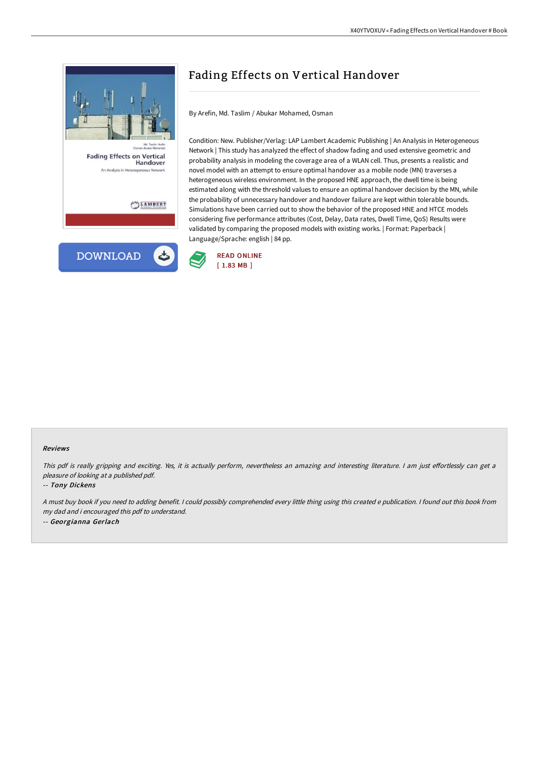



# Fading Effects on Vertical Handover

By Arefin, Md. Taslim / Abukar Mohamed, Osman

Condition: New. Publisher/Verlag: LAP Lambert Academic Publishing | An Analysis in Heterogeneous Network | This study has analyzed the effect of shadow fading and used extensive geometric and probability analysis in modeling the coverage area of a WLAN cell. Thus, presents a realistic and novel model with an attempt to ensure optimal handover as a mobile node (MN) traverses a heterogeneous wireless environment. In the proposed HNE approach, the dwell time is being estimated along with the threshold values to ensure an optimal handover decision by the MN, while the probability of unnecessary handover and handover failure are kept within tolerable bounds. Simulations have been carried out to show the behavior of the proposed HNE and HTCE models considering five performance attributes (Cost, Delay, Data rates, Dwell Time, QoS) Results were validated by comparing the proposed models with existing works. | Format: Paperback | Language/Sprache: english | 84 pp.



#### Reviews

This pdf is really gripping and exciting. Yes, it is actually perform, nevertheless an amazing and interesting literature. I am just effortlessly can get a pleasure of looking at <sup>a</sup> published pdf.

#### -- Tony Dickens

<sup>A</sup> must buy book if you need to adding benefit. <sup>I</sup> could possibly comprehended every little thing using this created <sup>e</sup> publication. <sup>I</sup> found out this book from my dad and i encouraged this pdf to understand. -- Georgianna Gerlach